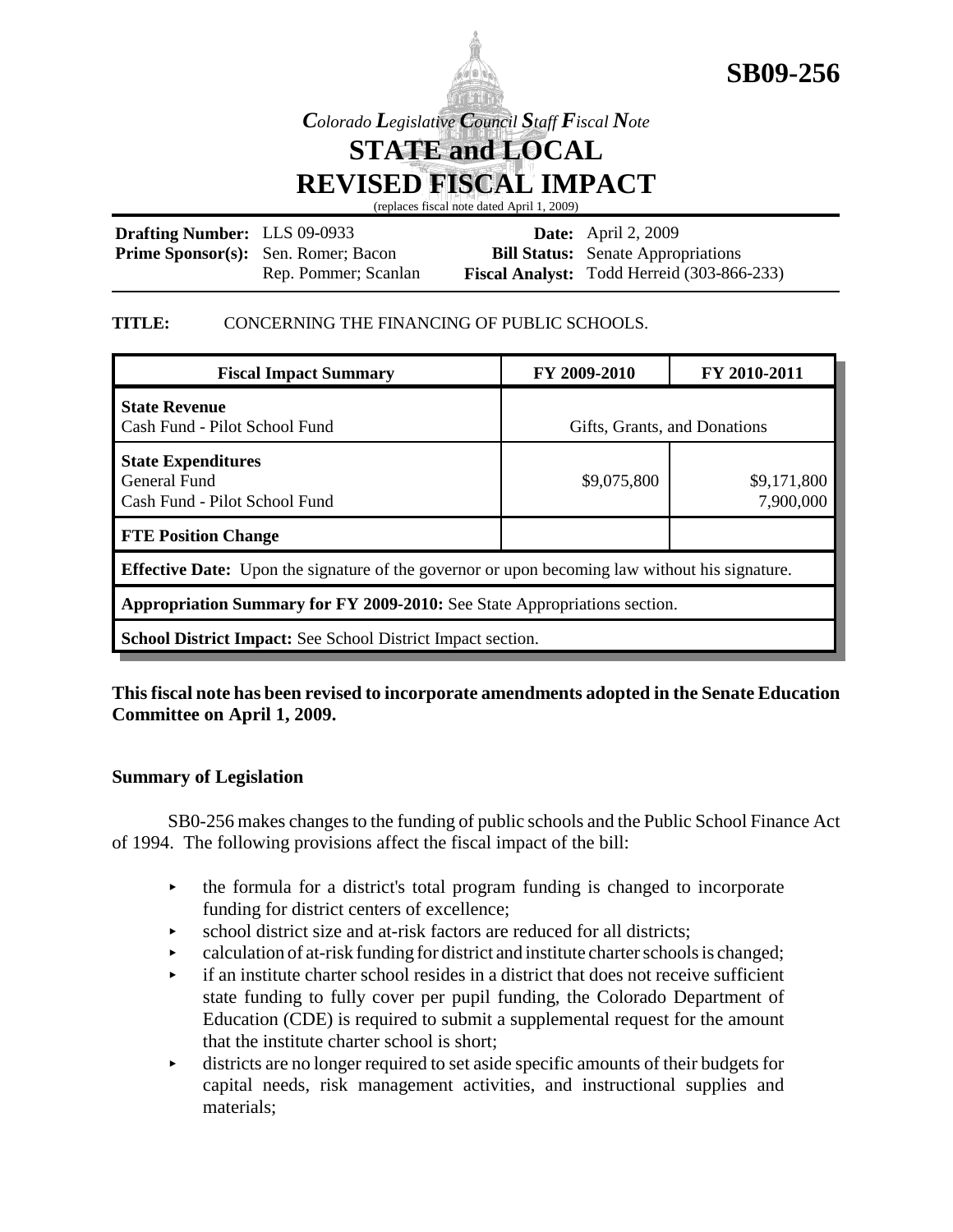



*Colorado Legislative Council Staff Fiscal Note*

**STATE and LOCAL REVISED FISCAL IMPACT**

(replaces fiscal note dated April 1, 2009)

| <b>Drafting Number:</b> LLS 09-0933 |                                            | <b>Date:</b> April 2, 2009                        |
|-------------------------------------|--------------------------------------------|---------------------------------------------------|
|                                     | <b>Prime Sponsor(s):</b> Sen. Romer; Bacon | <b>Bill Status:</b> Senate Appropriations         |
|                                     | Rep. Pommer; Scanlan                       | <b>Fiscal Analyst:</b> Todd Herreid (303-866-233) |

## **TITLE:** CONCERNING THE FINANCING OF PUBLIC SCHOOLS.

| <b>Fiscal Impact Summary</b>                                                                          | FY 2009-2010                 | FY 2010-2011             |  |
|-------------------------------------------------------------------------------------------------------|------------------------------|--------------------------|--|
| <b>State Revenue</b><br>Cash Fund - Pilot School Fund                                                 | Gifts, Grants, and Donations |                          |  |
| <b>State Expenditures</b><br><b>General Fund</b><br>Cash Fund - Pilot School Fund                     | \$9,075,800                  | \$9,171,800<br>7,900,000 |  |
| <b>FTE Position Change</b>                                                                            |                              |                          |  |
| <b>Effective Date:</b> Upon the signature of the governor or upon becoming law without his signature. |                              |                          |  |
| Appropriation Summary for FY 2009-2010: See State Appropriations section.                             |                              |                          |  |
| <b>School District Impact:</b> See School District Impact section.                                    |                              |                          |  |

# **This fiscal note has been revised to incorporate amendments adopted in the Senate Education Committee on April 1, 2009.**

## **Summary of Legislation**

SB0-256 makes changes to the funding of public schools and the Public School Finance Act of 1994. The following provisions affect the fiscal impact of the bill:

- $\rightarrow$  the formula for a district's total program funding is changed to incorporate funding for district centers of excellence;
- $\triangleright$  school district size and at-risk factors are reduced for all districts;
- $\triangleright$  calculation of at-risk funding for district and institute charter schools is changed;
- $\rightarrow$  if an institute charter school resides in a district that does not receive sufficient state funding to fully cover per pupil funding, the Colorado Department of Education (CDE) is required to submit a supplemental request for the amount that the institute charter school is short;
- $\rightarrow$  districts are no longer required to set aside specific amounts of their budgets for capital needs, risk management activities, and instructional supplies and materials;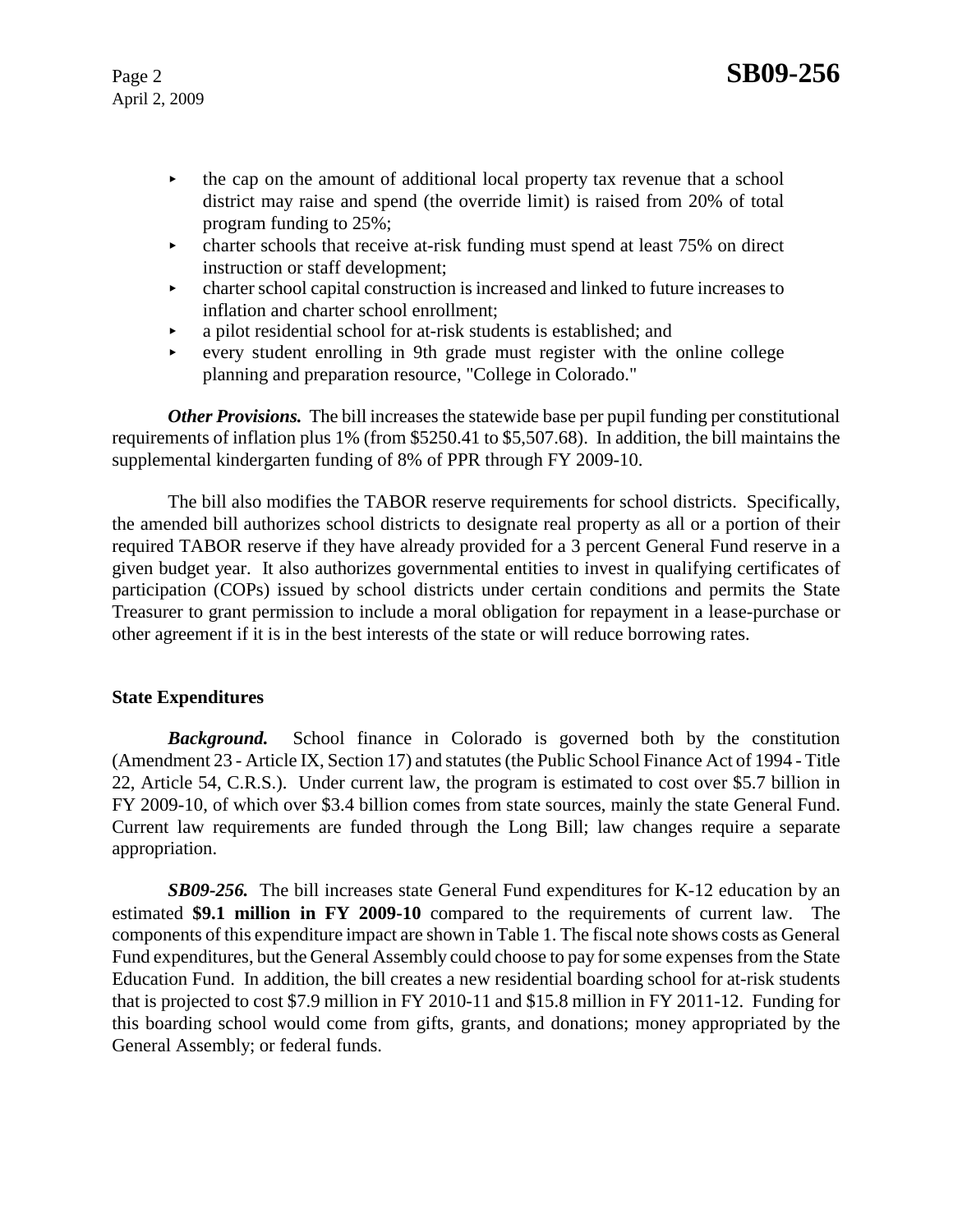- $\rightarrow$  the cap on the amount of additional local property tax revenue that a school district may raise and spend (the override limit) is raised from 20% of total program funding to 25%;
- $\triangleright$  charter schools that receive at-risk funding must spend at least 75% on direct instruction or staff development;
- $\blacktriangleright$  charter school capital construction is increased and linked to future increases to inflation and charter school enrollment;
- < a pilot residential school for at-risk students is established; and
- $\rightarrow$  every student enrolling in 9th grade must register with the online college planning and preparation resource, "College in Colorado."

*Other Provisions.* The bill increases the statewide base per pupil funding per constitutional requirements of inflation plus 1% (from \$5250.41 to \$5,507.68). In addition, the bill maintains the supplemental kindergarten funding of 8% of PPR through FY 2009-10.

The bill also modifies the TABOR reserve requirements for school districts. Specifically, the amended bill authorizes school districts to designate real property as all or a portion of their required TABOR reserve if they have already provided for a 3 percent General Fund reserve in a given budget year. It also authorizes governmental entities to invest in qualifying certificates of participation (COPs) issued by school districts under certain conditions and permits the State Treasurer to grant permission to include a moral obligation for repayment in a lease-purchase or other agreement if it is in the best interests of the state or will reduce borrowing rates.

## **State Expenditures**

**Background.** School finance in Colorado is governed both by the constitution (Amendment 23 - Article IX, Section 17) and statutes (the Public School Finance Act of 1994 - Title 22, Article 54, C.R.S.). Under current law, the program is estimated to cost over \$5.7 billion in FY 2009-10, of which over \$3.4 billion comes from state sources, mainly the state General Fund. Current law requirements are funded through the Long Bill; law changes require a separate appropriation.

*SB09-256.* The bill increases state General Fund expenditures for K-12 education by an estimated **\$9.1 million in FY 2009-10** compared to the requirements of current law. The components of this expenditure impact are shown in Table 1. The fiscal note shows costs as General Fund expenditures, but the General Assembly could choose to pay for some expenses from the State Education Fund. In addition, the bill creates a new residential boarding school for at-risk students that is projected to cost \$7.9 million in FY 2010-11 and \$15.8 million in FY 2011-12. Funding for this boarding school would come from gifts, grants, and donations; money appropriated by the General Assembly; or federal funds.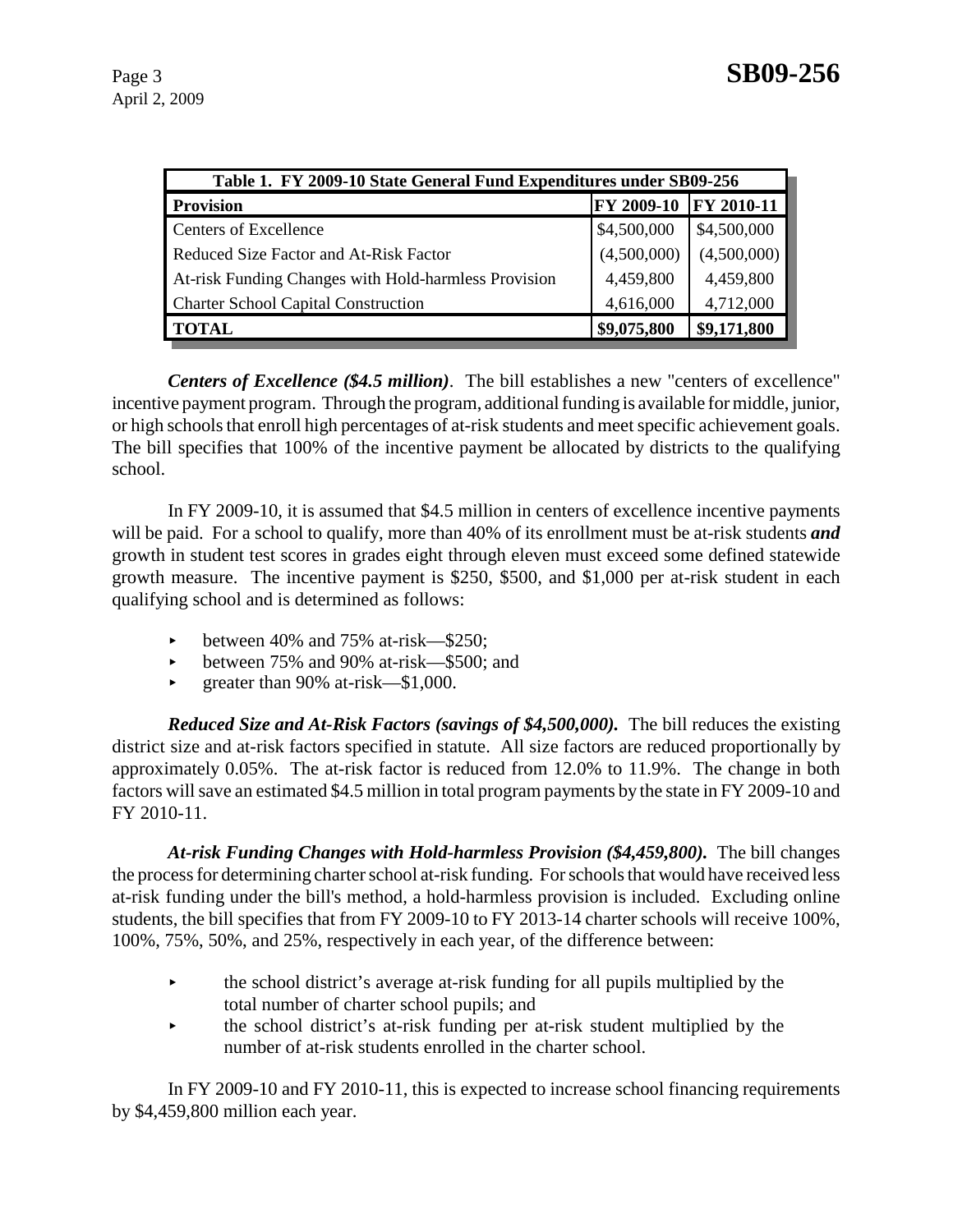| Table 1. FY 2009-10 State General Fund Expenditures under SB09-256 |             |                   |  |
|--------------------------------------------------------------------|-------------|-------------------|--|
| <b>Provision</b>                                                   | FY 2009-10  | <b>FY 2010-11</b> |  |
| Centers of Excellence                                              | \$4,500,000 | \$4,500,000       |  |
| Reduced Size Factor and At-Risk Factor                             | (4,500,000) | (4,500,000)       |  |
| At-risk Funding Changes with Hold-harmless Provision               | 4,459,800   | 4,459,800         |  |
| <b>Charter School Capital Construction</b>                         | 4,616,000   | 4,712,000         |  |
| <b>TOTAL</b>                                                       | \$9,075,800 | \$9,171,800       |  |

*Centers of Excellence (\$4.5 million)*. The bill establishes a new "centers of excellence" incentive payment program. Through the program, additional funding is available for middle, junior, or high schools that enroll high percentages of at-risk students and meet specific achievement goals. The bill specifies that 100% of the incentive payment be allocated by districts to the qualifying school.

In FY 2009-10, it is assumed that \$4.5 million in centers of excellence incentive payments will be paid. For a school to qualify, more than 40% of its enrollment must be at-risk students *and* growth in student test scores in grades eight through eleven must exceed some defined statewide growth measure. The incentive payment is \$250, \$500, and \$1,000 per at-risk student in each qualifying school and is determined as follows:

- between 40% and 75% at-risk—\$250;
- between 75% and 90% at-risk—\$500; and
- $\blacktriangleright$  greater than 90% at-risk—\$1,000.

*Reduced Size and At-Risk Factors (savings of \$4,500,000).* The bill reduces the existing district size and at-risk factors specified in statute. All size factors are reduced proportionally by approximately 0.05%. The at-risk factor is reduced from 12.0% to 11.9%. The change in both factors will save an estimated \$4.5 million in total program payments by the state in FY 2009-10 and FY 2010-11.

*At-risk Funding Changes with Hold-harmless Provision (\$4,459,800).* The bill changes the process for determining charter school at-risk funding. For schools that would have received less at-risk funding under the bill's method, a hold-harmless provision is included. Excluding online students, the bill specifies that from FY 2009-10 to FY 2013-14 charter schools will receive 100%, 100%, 75%, 50%, and 25%, respectively in each year, of the difference between:

- $\blacktriangleright$  the school district's average at-risk funding for all pupils multiplied by the total number of charter school pupils; and
- $\rightarrow$  the school district's at-risk funding per at-risk student multiplied by the number of at-risk students enrolled in the charter school.

In FY 2009-10 and FY 2010-11, this is expected to increase school financing requirements by \$4,459,800 million each year.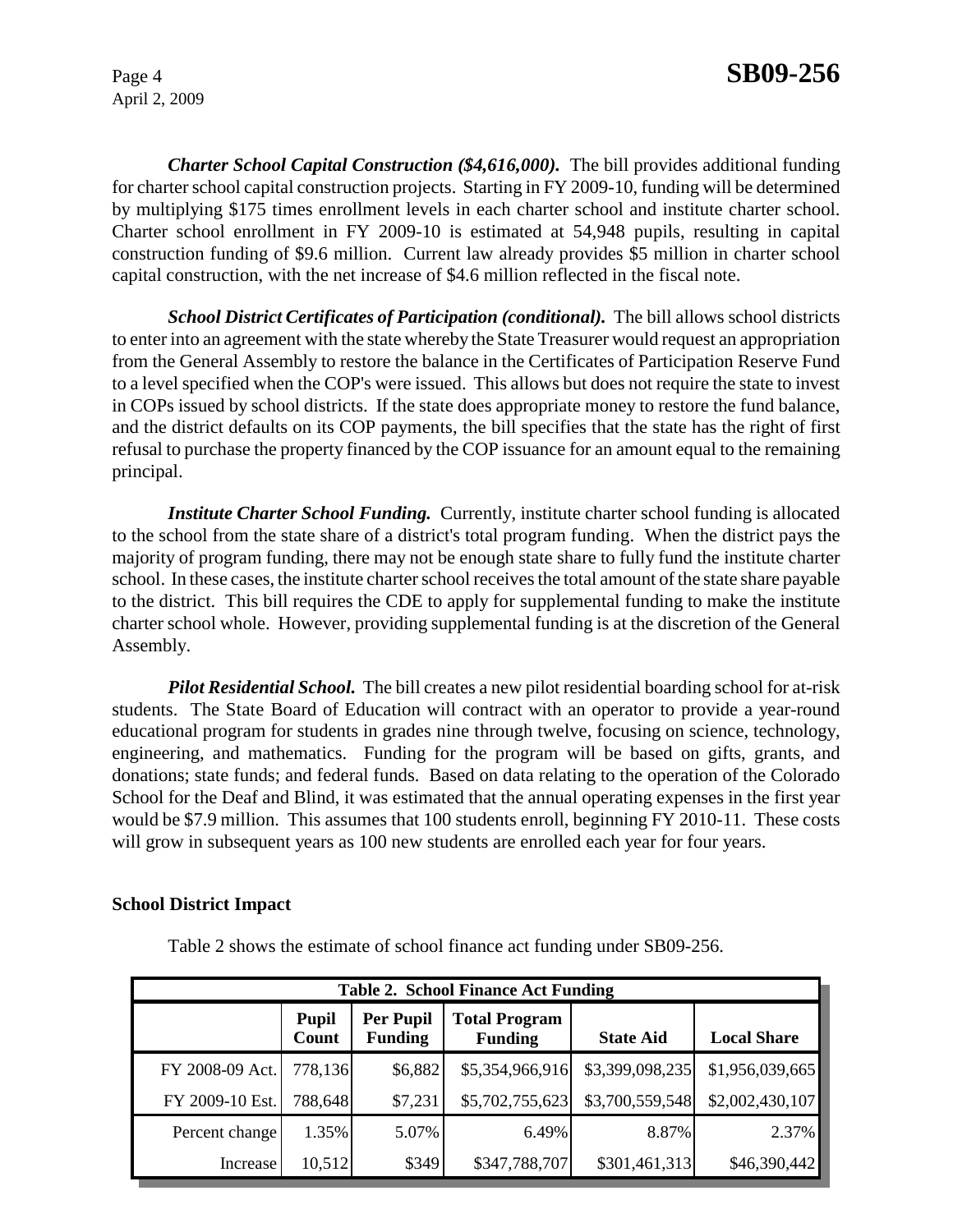*Charter School Capital Construction (\$4,616,000).* The bill provides additional funding for charter school capital construction projects. Starting in FY 2009-10, funding will be determined by multiplying \$175 times enrollment levels in each charter school and institute charter school. Charter school enrollment in FY 2009-10 is estimated at 54,948 pupils, resulting in capital construction funding of \$9.6 million. Current law already provides \$5 million in charter school capital construction, with the net increase of \$4.6 million reflected in the fiscal note.

*School District Certificates of Participation (conditional).* The bill allows school districts to enter into an agreement with the state whereby the State Treasurer would request an appropriation from the General Assembly to restore the balance in the Certificates of Participation Reserve Fund to a level specified when the COP's were issued. This allows but does not require the state to invest in COPs issued by school districts. If the state does appropriate money to restore the fund balance, and the district defaults on its COP payments, the bill specifies that the state has the right of first refusal to purchase the property financed by the COP issuance for an amount equal to the remaining principal.

*Institute Charter School Funding.* Currently, institute charter school funding is allocated to the school from the state share of a district's total program funding. When the district pays the majority of program funding, there may not be enough state share to fully fund the institute charter school. In these cases, the institute charter school receives the total amount of the state share payable to the district. This bill requires the CDE to apply for supplemental funding to make the institute charter school whole. However, providing supplemental funding is at the discretion of the General Assembly.

*Pilot Residential School.* The bill creates a new pilot residential boarding school for at-risk students. The State Board of Education will contract with an operator to provide a year-round educational program for students in grades nine through twelve, focusing on science, technology, engineering, and mathematics. Funding for the program will be based on gifts, grants, and donations; state funds; and federal funds. Based on data relating to the operation of the Colorado School for the Deaf and Blind, it was estimated that the annual operating expenses in the first year would be \$7.9 million. This assumes that 100 students enroll, beginning FY 2010-11. These costs will grow in subsequent years as 100 new students are enrolled each year for four years.

#### **School District Impact**

Table 2 shows the estimate of school finance act funding under SB09-256.

| <b>Table 2. School Finance Act Funding</b> |                       |                                    |                                        |                  |                    |
|--------------------------------------------|-----------------------|------------------------------------|----------------------------------------|------------------|--------------------|
|                                            | <b>Pupil</b><br>Count | <b>Per Pupil</b><br><b>Funding</b> | <b>Total Program</b><br><b>Funding</b> | <b>State Aid</b> | <b>Local Share</b> |
| FY 2008-09 Act.                            | 778,136               | \$6,882                            | \$5,354,966,916                        | \$3,399,098,235  | \$1,956,039,665    |
| FY 2009-10 Est.                            | 788,648               | \$7,231                            | \$5,702,755,623                        | \$3,700,559,548  | \$2,002,430,107    |
| Percent change                             | 1.35%                 | 5.07%                              | $6.49\%$                               | 8.87%            | 2.37%              |
| Increase                                   | 10,512                | \$349                              | \$347,788,707                          | \$301,461,313    | \$46,390,442       |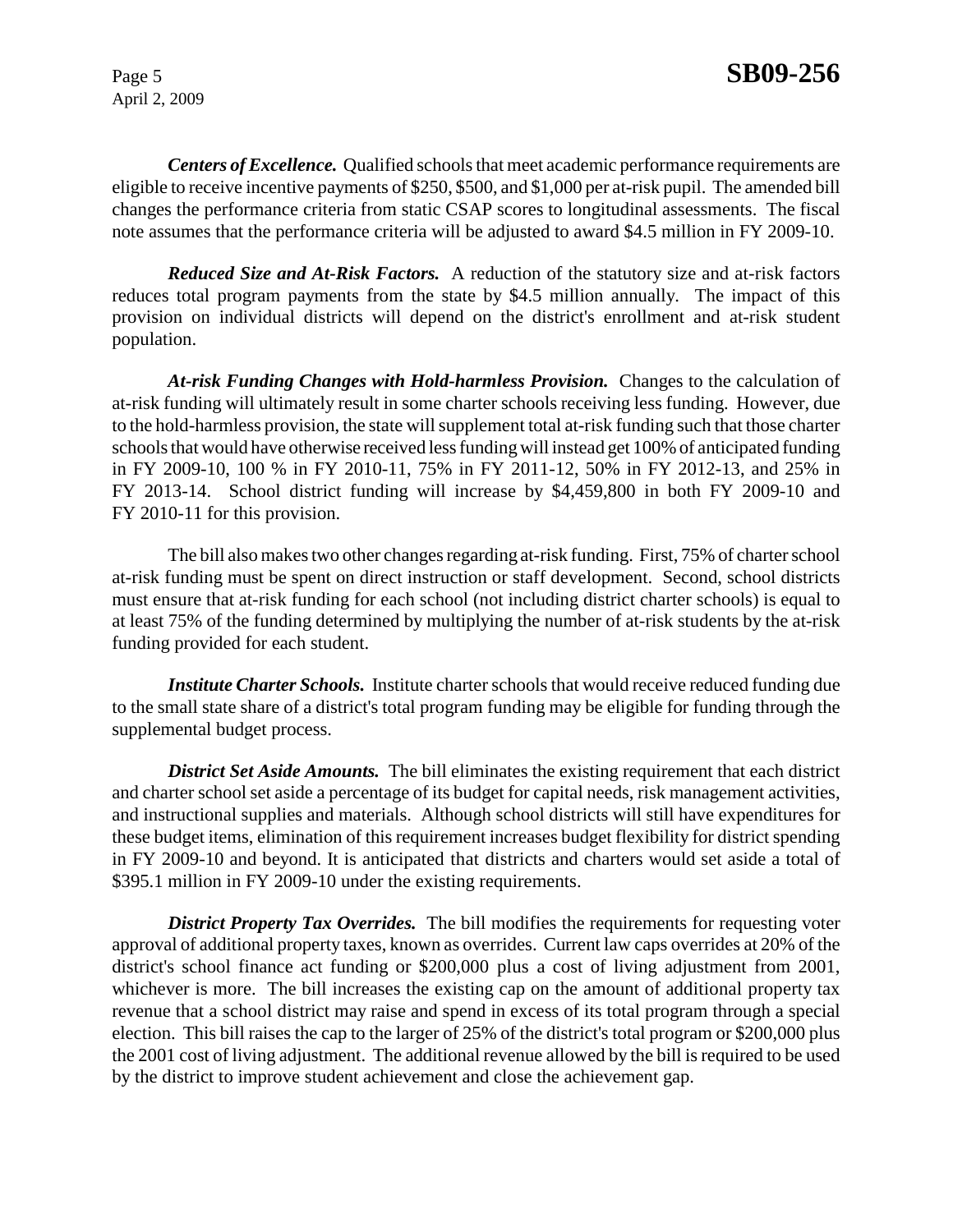*Centers of Excellence.* Qualified schools that meet academic performance requirements are eligible to receive incentive payments of \$250, \$500, and \$1,000 per at-risk pupil. The amended bill changes the performance criteria from static CSAP scores to longitudinal assessments. The fiscal note assumes that the performance criteria will be adjusted to award \$4.5 million in FY 2009-10.

*Reduced Size and At-Risk Factors.* A reduction of the statutory size and at-risk factors reduces total program payments from the state by \$4.5 million annually. The impact of this provision on individual districts will depend on the district's enrollment and at-risk student population.

*At-risk Funding Changes with Hold-harmless Provision.* Changes to the calculation of at-risk funding will ultimately result in some charter schools receiving less funding. However, due to the hold-harmless provision, the state will supplement total at-risk funding such that those charter schools that would have otherwise received less funding will instead get 100% of anticipated funding in FY 2009-10, 100 % in FY 2010-11, 75% in FY 2011-12, 50% in FY 2012-13, and 25% in FY 2013-14. School district funding will increase by \$4,459,800 in both FY 2009-10 and FY 2010-11 for this provision.

The bill also makes two other changes regarding at-risk funding. First, 75% of charter school at-risk funding must be spent on direct instruction or staff development. Second, school districts must ensure that at-risk funding for each school (not including district charter schools) is equal to at least 75% of the funding determined by multiplying the number of at-risk students by the at-risk funding provided for each student.

*Institute Charter Schools.* Institute charter schools that would receive reduced funding due to the small state share of a district's total program funding may be eligible for funding through the supplemental budget process.

**District Set Aside Amounts.** The bill eliminates the existing requirement that each district and charter school set aside a percentage of its budget for capital needs, risk management activities, and instructional supplies and materials. Although school districts will still have expenditures for these budget items, elimination of this requirement increases budget flexibility for district spending in FY 2009-10 and beyond. It is anticipated that districts and charters would set aside a total of \$395.1 million in FY 2009-10 under the existing requirements.

**District Property Tax Overrides.** The bill modifies the requirements for requesting voter approval of additional property taxes, known as overrides. Current law caps overrides at 20% of the district's school finance act funding or \$200,000 plus a cost of living adjustment from 2001, whichever is more. The bill increases the existing cap on the amount of additional property tax revenue that a school district may raise and spend in excess of its total program through a special election. This bill raises the cap to the larger of 25% of the district's total program or \$200,000 plus the 2001 cost of living adjustment. The additional revenue allowed by the bill is required to be used by the district to improve student achievement and close the achievement gap.